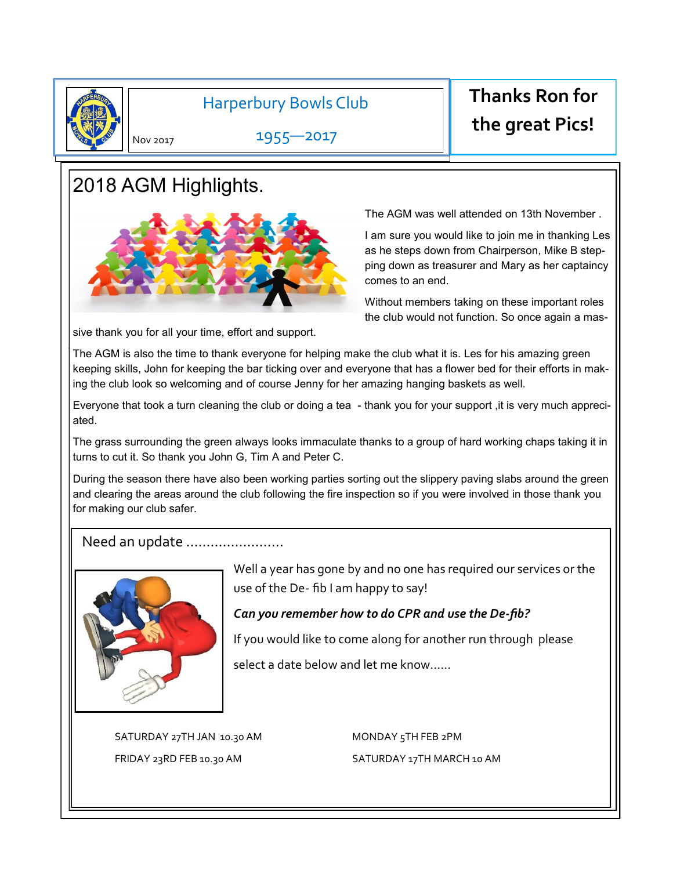

.

### Harperbury Bowls Club

1955—2017

# **Thanks Ron for the great Pics!**

Nov 2017

# 2018 AGM Highlights.



The AGM was well attended on 13th November .

I am sure you would like to join me in thanking Les as he steps down from Chairperson, Mike B stepping down as treasurer and Mary as her captaincy comes to an end.

Without members taking on these important roles the club would not function. So once again a mas-

sive thank you for all your time, effort and support.

The AGM is also the time to thank everyone for helping make the club what it is. Les for his amazing green keeping skills, John for keeping the bar ticking over and everyone that has a flower bed for their efforts in making the club look so welcoming and of course Jenny for her amazing hanging baskets as well.

Everyone that took a turn cleaning the club or doing a tea - thank you for your support ,it is very much appreciated.

The grass surrounding the green always looks immaculate thanks to a group of hard working chaps taking it in turns to cut it. So thank you John G, Tim A and Peter C.

During the season there have also been working parties sorting out the slippery paving slabs around the green and clearing the areas around the club following the fire inspection so if you were involved in those thank you for making our club safer.

### Need an update ……………………



Well a year has gone by and no one has required our services or the use of the De- fib I am happy to say!

### *Can you remember how to do CPR and use the De-fib?*

If you would like to come along for another run through please

select a date below and let me know……

SATURDAY 27TH JAN 10.30 AM MONDAY 5TH FEB 2PM

FRIDAY 23RD FEB 10.30 AM SATURDAY 17TH MARCH 10 AM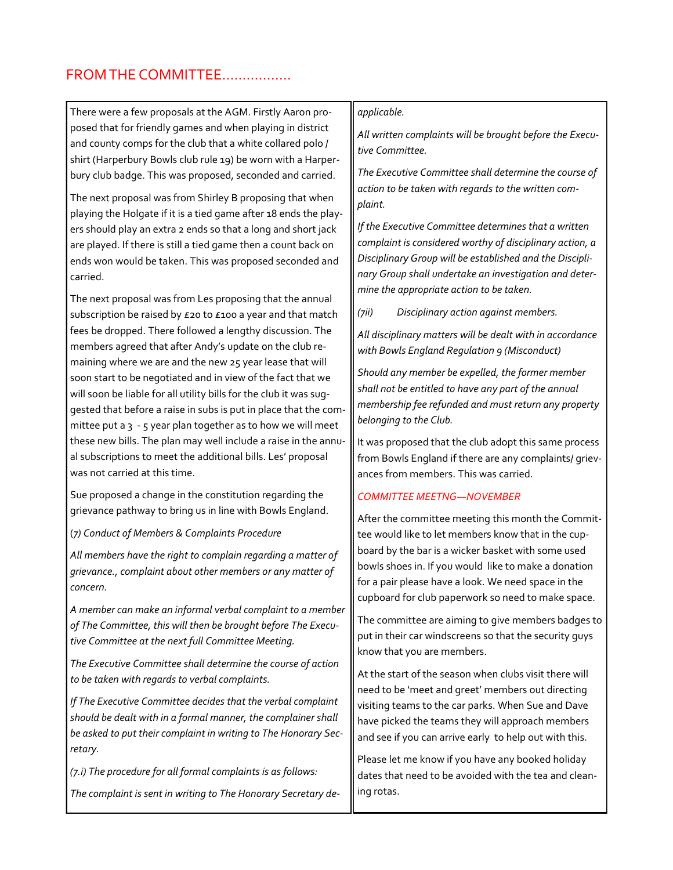### FROM THE COMMITTEE……………..

There were a few proposals at the AGM. Firstly Aaron proposed that for friendly games and when playing in district and county comps for the club that a white collared polo / shirt (Harperbury Bowls club rule 19) be worn with a Harperbury club badge. This was proposed, seconded and carried.

The next proposal was from Shirley B proposing that when playing the Holgate if it is a tied game after 18 ends the players should play an extra 2 ends so that a long and short jack are played. If there is still a tied game then a count back on ends won would be taken. This was proposed seconded and carried.

The next proposal was from Les proposing that the annual subscription be raised by £20 to £100 a year and that match fees be dropped. There followed a lengthy discussion. The members agreed that after Andy's update on the club remaining where we are and the new 25 year lease that will soon start to be negotiated and in view of the fact that we will soon be liable for all utility bills for the club it was suggested that before a raise in subs is put in place that the committee put a  $3 - 5$  year plan together as to how we will meet these new bills. The plan may well include a raise in the annual subscriptions to meet the additional bills. Les' proposal was not carried at this time.

Sue proposed a change in the constitution regarding the grievance pathway to bring us in line with Bowls England.

(*7) Conduct of Members & Complaints Procedure* 

*All members have the right to complain regarding a matter of grievance., complaint about other members or any matter of concern.* 

*A member can make an informal verbal complaint to a member of The Committee, this will then be brought before The Executive Committee at the next full Committee Meeting.*

*The Executive Committee shall determine the course of action to be taken with regards to verbal complaints.*

*If The Executive Committee decides that the verbal complaint should be dealt with in a formal manner, the complainer shall be asked to put their complaint in writing to The Honorary Secretary.*

*(7.i) The procedure for all formal complaints is as follows: The complaint is sent in writing to The Honorary Secretary de-*

#### *applicable.*

*All written complaints will be brought before the Executive Committee.*

*The Executive Committee shall determine the course of action to be taken with regards to the written complaint.*

*If the Executive Committee determines that a written complaint is considered worthy of disciplinary action, a Disciplinary Group will be established and the Disciplinary Group shall undertake an investigation and determine the appropriate action to be taken.*

*(7ii) Disciplinary action against members.*

*All disciplinary matters will be dealt with in accordance with Bowls England Regulation 9 (Misconduct)*

*Should any member be expelled, the former member shall not be entitled to have any part of the annual membership fee refunded and must return any property belonging to the Club.*

It was proposed that the club adopt this same process from Bowls England if there are any complaints/ grievances from members. This was carried*.* 

#### *COMMITTEE MEETNG—NOVEMBER*

After the committee meeting this month the Committee would like to let members know that in the cupboard by the bar is a wicker basket with some used bowls shoes in. If you would like to make a donation for a pair please have a look. We need space in the cupboard for club paperwork so need to make space.

The committee are aiming to give members badges to put in their car windscreens so that the security guys know that you are members.

At the start of the season when clubs visit there will need to be 'meet and greet' members out directing visiting teams to the car parks. When Sue and Dave have picked the teams they will approach members and see if you can arrive early to help out with this.

Please let me know if you have any booked holiday dates that need to be avoided with the tea and cleaning rotas.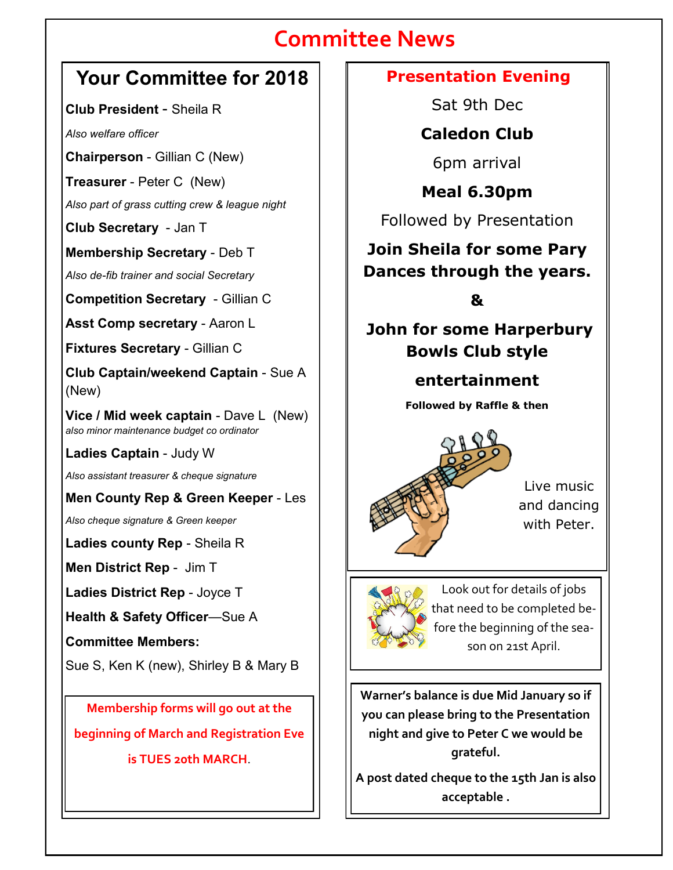# **Committee News**

## **Your Committee for 2018**

**Club President** - Sheila R

*Also welfare officer*

**Chairperson** - Gillian C (New)

**Treasurer** - Peter C (New)

*Also part of grass cutting crew & league night*

**Club Secretary** - Jan T

**Membership Secretary** - Deb T

*Also de-fib trainer and social Secretary*

**Competition Secretary** - Gillian C

**Asst Comp secretary** - Aaron L

**Fixtures Secretary** - Gillian C

**Club Captain/weekend Captain** - Sue A (New)

**Vice / Mid week captain** - Dave L (New) *also minor maintenance budget co ordinator*

**Ladies Captain** - Judy W

*Also assistant treasurer & cheque signature*

**Men County Rep & Green Keeper** - Les

*Also cheque signature & Green keeper*

**Ladies county Rep** - Sheila R

**Men District Rep** - Jim T

**Ladies District Rep** - Joyce T

**Health & Safety Officer**—Sue A

**Committee Members:**

Sue S, Ken K (new), Shirley B & Mary B

**Membership forms will go out at the beginning of March and Registration Eve is TUES 20th MARCH**.

## **Presentation Evening**

Sat 9th Dec

**Caledon Club**

6pm arrival

**Meal 6.30pm**

Followed by Presentation

## **Join Sheila for some Pary Dances through the years.**

**&**

**John for some Harperbury Bowls Club style** 

**entertainment**

**Followed by Raffle & then**



Live music and dancing with Peter.



Look out for details of jobs that need to be completed before the beginning of the season on 21st April.

**Warner's balance is due Mid January so if you can please bring to the Presentation night and give to Peter C we would be grateful.** 

**A post dated cheque to the 15th Jan is also acceptable .**